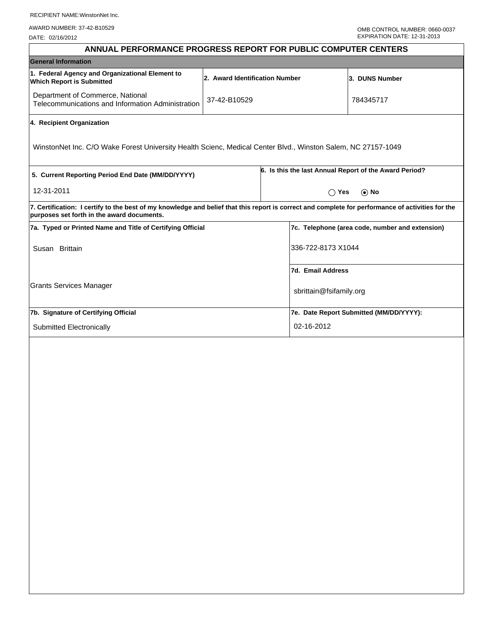AWARD NUMBER: 37-42-B10529

| ANNUAL PERFORMANCE PROGRESS REPORT FOR PUBLIC COMPUTER CENTERS                                                                                                                                  |                                |                             |                                                        |  |
|-------------------------------------------------------------------------------------------------------------------------------------------------------------------------------------------------|--------------------------------|-----------------------------|--------------------------------------------------------|--|
| <b>General Information</b>                                                                                                                                                                      |                                |                             |                                                        |  |
| 1. Federal Agency and Organizational Element to<br><b>Which Report is Submitted</b>                                                                                                             | 2. Award Identification Number |                             | 3. DUNS Number                                         |  |
| Department of Commerce, National<br>Telecommunications and Information Administration                                                                                                           | 37-42-B10529                   |                             | 784345717                                              |  |
| 4. Recipient Organization                                                                                                                                                                       |                                |                             |                                                        |  |
| WinstonNet Inc. C/O Wake Forest University Health Scienc, Medical Center Blvd., Winston Salem, NC 27157-1049                                                                                    |                                |                             |                                                        |  |
| 5. Current Reporting Period End Date (MM/DD/YYYY)                                                                                                                                               |                                |                             | 6. Is this the last Annual Report of the Award Period? |  |
| 12-31-2011                                                                                                                                                                                      |                                | $\bigcap$ Yes<br>$\odot$ No |                                                        |  |
| 7. Certification: I certify to the best of my knowledge and belief that this report is correct and complete for performance of activities for the<br>purposes set forth in the award documents. |                                |                             |                                                        |  |
| 7a. Typed or Printed Name and Title of Certifying Official                                                                                                                                      |                                |                             | 7c. Telephone (area code, number and extension)        |  |
| Susan Brittain                                                                                                                                                                                  |                                | 336-722-8173 X1044          |                                                        |  |
|                                                                                                                                                                                                 |                                | 7d. Email Address           |                                                        |  |
| Grants Services Manager                                                                                                                                                                         |                                | sbrittain@fsifamily.org     |                                                        |  |
| 7b. Signature of Certifying Official                                                                                                                                                            |                                |                             | 7e. Date Report Submitted (MM/DD/YYYY):                |  |
| Submitted Electronically                                                                                                                                                                        |                                | 02-16-2012                  |                                                        |  |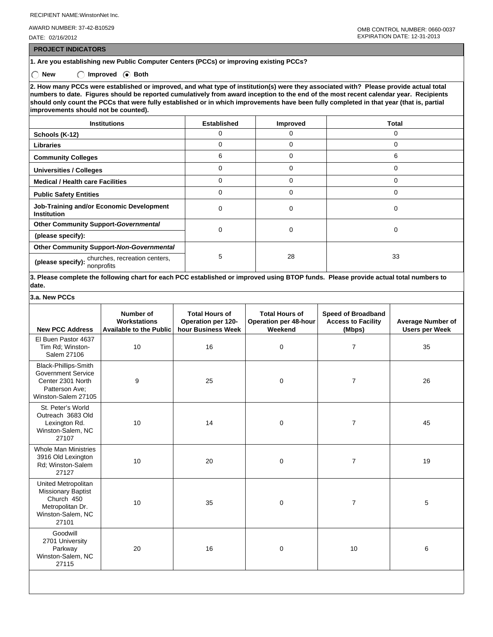AWARD NUMBER: 37-42-B10529

DATE: 02/16/2012

 **PROJECT INDICATORS**

**1. Are you establishing new Public Computer Centers (PCCs) or improving existing PCCs?**

◯ New ◯ Improved **Both** 

**2. How many PCCs were established or improved, and what type of institution(s) were they associated with? Please provide actual total numbers to date. Figures should be reported cumulatively from award inception to the end of the most recent calendar year. Recipients should only count the PCCs that were fully established or in which improvements have been fully completed in that year (that is, partial improvements should not be counted).**

| <b>Institutions</b>                                            | <b>Established</b> | <b>Improved</b> | Total |  |
|----------------------------------------------------------------|--------------------|-----------------|-------|--|
| Schools (K-12)                                                 | 0                  | 0               | 0     |  |
| <b>Libraries</b>                                               | 0                  | 0               |       |  |
| <b>Community Colleges</b>                                      | 6                  | 0               | 6     |  |
| <b>Universities / Colleges</b>                                 |                    | 0               |       |  |
| <b>Medical / Health care Facilities</b>                        | 0                  | $\Omega$        | 0     |  |
| <b>Public Safety Entities</b>                                  | 0                  | 0               | 0     |  |
| Job-Training and/or Economic Development<br><b>Institution</b> | 0                  | 0               | 0     |  |
| <b>Other Community Support-Governmental</b>                    | 0                  | $\mathbf 0$     | 0     |  |
| (please specify):                                              |                    |                 |       |  |
| Other Community Support-Non-Governmental                       |                    |                 |       |  |
| (please specify): churches, recreation centers,<br>nonprofits  | 5                  | 28              | 33    |  |

**3. Please complete the following chart for each PCC established or improved using BTOP funds. Please provide actual total numbers to date.**

| 3.a. New PCCs |  |  |  |
|---------------|--|--|--|
|---------------|--|--|--|

| <b>New PCC Address</b>                                                                                           | Number of<br>Workstations<br><b>Available to the Public</b> | <b>Total Hours of</b><br>Operation per 120-<br>hour Business Week | <b>Total Hours of</b><br><b>Operation per 48-hour</b><br>Weekend | <b>Speed of Broadband</b><br><b>Access to Facility</b><br>(Mbps) | Average Number of<br><b>Users per Week</b> |
|------------------------------------------------------------------------------------------------------------------|-------------------------------------------------------------|-------------------------------------------------------------------|------------------------------------------------------------------|------------------------------------------------------------------|--------------------------------------------|
| El Buen Pastor 4637<br>Tim Rd; Winston-<br>Salem 27106                                                           | 10                                                          | 16                                                                | $\mathbf 0$                                                      | 7                                                                | 35                                         |
| Black-Phillips-Smith<br><b>Government Service</b><br>Center 2301 North<br>Patterson Ave:<br>Winston-Salem 27105  | 9                                                           | 25                                                                | $\mathbf 0$                                                      | $\overline{7}$                                                   | 26                                         |
| St. Peter's World<br>Outreach 3683 Old<br>Lexington Rd.<br>Winston-Salem, NC<br>27107                            | 10                                                          | 14                                                                | $\mathbf 0$                                                      | $\overline{7}$                                                   | 45                                         |
| <b>Whole Man Ministries</b><br>3916 Old Lexington<br>Rd; Winston-Salem<br>27127                                  | 10                                                          | 20                                                                | $\mathbf 0$                                                      | $\overline{7}$                                                   | 19                                         |
| United Metropolitan<br><b>Missionary Baptist</b><br>Church 450<br>Metropolitan Dr.<br>Winston-Salem, NC<br>27101 | 10                                                          | 35                                                                | $\mathbf 0$                                                      | 7                                                                | 5                                          |
| Goodwill<br>2701 University<br>Parkway<br>Winston-Salem, NC<br>27115                                             | 20                                                          | 16                                                                | $\mathbf 0$                                                      | 10                                                               | 6                                          |
|                                                                                                                  |                                                             |                                                                   |                                                                  |                                                                  |                                            |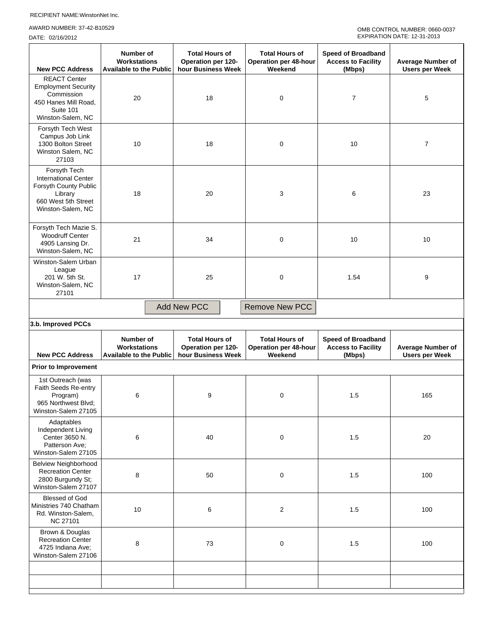## AWARD NUMBER: 37-42-B10529

| <b>New PCC Address</b>                                                                                                      | Number of<br><b>Workstations</b><br><b>Available to the Public</b> | <b>Total Hours of</b><br>Operation per 120-<br>hour Business Week        | <b>Total Hours of</b><br><b>Operation per 48-hour</b><br>Weekend | <b>Speed of Broadband</b><br><b>Access to Facility</b><br>(Mbps) | Average Number of<br><b>Users per Week</b> |  |  |
|-----------------------------------------------------------------------------------------------------------------------------|--------------------------------------------------------------------|--------------------------------------------------------------------------|------------------------------------------------------------------|------------------------------------------------------------------|--------------------------------------------|--|--|
| <b>REACT Center</b><br><b>Employment Security</b><br>Commission<br>450 Hanes Mill Road,<br>Suite 101<br>Winston-Salem, NC   | 20                                                                 | 18                                                                       | 0                                                                | $\overline{7}$                                                   | 5                                          |  |  |
| Forsyth Tech West<br>Campus Job Link<br>1300 Bolton Street<br>Winston Salem, NC<br>27103                                    | 10                                                                 | 18                                                                       | 0                                                                | 10                                                               | 7                                          |  |  |
| Forsyth Tech<br><b>International Center</b><br>Forsyth County Public<br>Library<br>660 West 5th Street<br>Winston-Salem, NC | 18                                                                 | 20                                                                       | 3                                                                | 6                                                                | 23                                         |  |  |
| Forsyth Tech Mazie S.<br><b>Woodruff Center</b><br>4905 Lansing Dr.<br>Winston-Salem, NC                                    | 21                                                                 | 34                                                                       | 0                                                                | 10                                                               | 10                                         |  |  |
| Winston-Salem Urban<br>League<br>201 W. 5th St.<br>Winston-Salem, NC<br>27101                                               | 17                                                                 | 25                                                                       | 0                                                                | 1.54                                                             | 9                                          |  |  |
| <b>Add New PCC</b><br><b>Remove New PCC</b>                                                                                 |                                                                    |                                                                          |                                                                  |                                                                  |                                            |  |  |
| 3.b. Improved PCCs                                                                                                          |                                                                    |                                                                          |                                                                  |                                                                  |                                            |  |  |
| <b>New PCC Address</b>                                                                                                      | Number of<br><b>Workstations</b><br><b>Available to the Public</b> | <b>Total Hours of</b><br><b>Operation per 120-</b><br>hour Business Week | <b>Total Hours of</b><br><b>Operation per 48-hour</b><br>Weekend | <b>Speed of Broadband</b><br><b>Access to Facility</b><br>(Mbps) | <b>Average Number of</b>                   |  |  |
| <b>Prior to Improvement</b>                                                                                                 | <b>Users per Week</b>                                              |                                                                          |                                                                  |                                                                  |                                            |  |  |
|                                                                                                                             |                                                                    |                                                                          |                                                                  |                                                                  |                                            |  |  |
| 1st Outreach (was<br>Faith Seeds Re-entry<br>Program)<br>965 Northwest Blvd;<br>Winston-Salem 27105                         | 6                                                                  | 9                                                                        | $\mathbf 0$                                                      | 1.5                                                              | 165                                        |  |  |
| Adaptables<br>Independent Living<br>Center 3650 N.<br>Patterson Ave;<br>Winston-Salem 27105                                 | 6                                                                  | 40                                                                       | $\pmb{0}$                                                        | 1.5                                                              | 20                                         |  |  |
| <b>Belview Neighborhood</b><br><b>Recreation Center</b><br>2800 Burgundy St;<br>Winston-Salem 27107                         | 8                                                                  | 50                                                                       | $\pmb{0}$                                                        | $1.5$                                                            | 100                                        |  |  |
| <b>Blessed of God</b><br>Ministries 740 Chatham<br>Rd. Winston-Salem,<br><b>NC 27101</b>                                    | 10                                                                 | $\,6$                                                                    | $\overline{2}$                                                   | 1.5                                                              | 100                                        |  |  |
| Brown & Douglas<br><b>Recreation Center</b><br>4725 Indiana Ave;<br>Winston-Salem 27106                                     | 8                                                                  | 73                                                                       | $\pmb{0}$                                                        | 1.5                                                              | 100                                        |  |  |
|                                                                                                                             |                                                                    |                                                                          |                                                                  |                                                                  |                                            |  |  |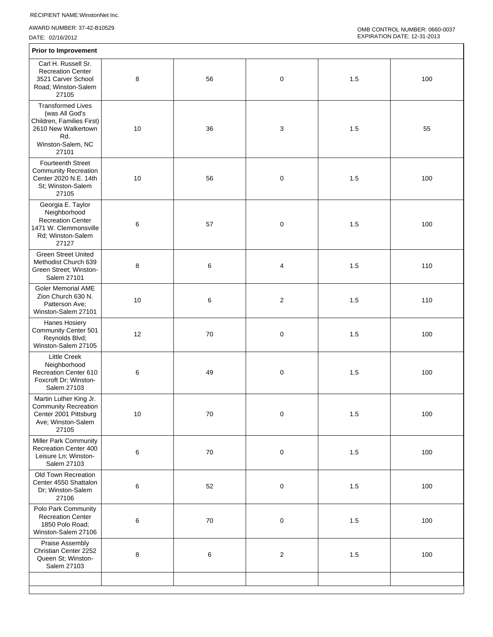AWARD NUMBER: 37-42-B10529

| <b>Prior to Improvement</b>                                                                                                         |       |    |                         |     |     |  |  |
|-------------------------------------------------------------------------------------------------------------------------------------|-------|----|-------------------------|-----|-----|--|--|
| Carl H. Russell Sr.<br><b>Recreation Center</b><br>3521 Carver School<br>Road; Winston-Salem<br>27105                               | 8     | 56 | 0                       | 1.5 | 100 |  |  |
| <b>Transformed Lives</b><br>(was All God's<br>Children, Families First)<br>2610 New Walkertown<br>Rd.<br>Winston-Salem, NC<br>27101 | 10    | 36 | 3                       | 1.5 | 55  |  |  |
| <b>Fourteenth Street</b><br><b>Community Recreation</b><br>Center 2020 N.E. 14th<br>St; Winston-Salem<br>27105                      | 10    | 56 | 0                       | 1.5 | 100 |  |  |
| Georgia E. Taylor<br>Neighborhood<br><b>Recreation Center</b><br>1471 W. Clemmonsville<br>Rd; Winston-Salem<br>27127                | 6     | 57 | $\pmb{0}$               | 1.5 | 100 |  |  |
| <b>Green Street United</b><br>Methodist Church 639<br>Green Street; Winston-<br>Salem 27101                                         | 8     | 6  | 4                       | 1.5 | 110 |  |  |
| <b>Goler Memorial AME</b><br>Zion Church 630 N.<br>Patterson Ave;<br>Winston-Salem 27101                                            | 10    | 6  | $\overline{\mathbf{c}}$ | 1.5 | 110 |  |  |
| Hanes Hosiery<br>Community Center 501<br>Reynolds Blvd;<br>Winston-Salem 27105                                                      | 12    | 70 | $\pmb{0}$               | 1.5 | 100 |  |  |
| <b>Little Creek</b><br>Neighborhood<br>Recreation Center 610<br>Foxcroft Dr; Winston-<br>Salem 27103                                | 6     | 49 | 0                       | 1.5 | 100 |  |  |
| Martin Luther King Jr.<br><b>Community Recreation</b><br>Center 2001 Pittsburg<br>Ave; Winston-Salem<br>27105                       | 10    | 70 | $\pmb{0}$               | 1.5 | 100 |  |  |
| Miller Park Community<br>Recreation Center 400<br>Leisure Ln; Winston-<br>Salem 27103                                               | $\,6$ | 70 | $\pmb{0}$               | 1.5 | 100 |  |  |
| Old Town Recreation<br>Center 4550 Shattalon<br>Dr; Winston-Salem<br>27106                                                          | $\,6$ | 52 | $\pmb{0}$               | 1.5 | 100 |  |  |
| Polo Park Community<br><b>Recreation Center</b><br>1850 Polo Road;<br>Winston-Salem 27106                                           | $\,6$ | 70 | $\pmb{0}$               | 1.5 | 100 |  |  |
| <b>Praise Assembly</b><br>Christian Center 2252<br>Queen St; Winston-<br>Salem 27103                                                | 8     | 6  | $\boldsymbol{2}$        | 1.5 | 100 |  |  |
|                                                                                                                                     |       |    |                         |     |     |  |  |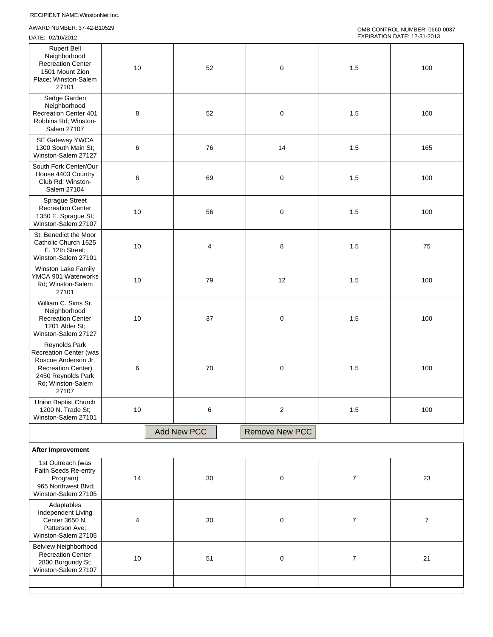AWARD NUMBER: 37-42-B10529

| <b>Rupert Bell</b><br>Neighborhood<br><b>Recreation Center</b><br>1501 Mount Zion<br>Place; Winston-Salem<br>27101                                     | 10   | 52                 | $\pmb{0}$               | 1.5              | 100            |
|--------------------------------------------------------------------------------------------------------------------------------------------------------|------|--------------------|-------------------------|------------------|----------------|
| Sedge Garden<br>Neighborhood<br>Recreation Center 401<br>Robbins Rd; Winston-<br>Salem 27107                                                           | 8    | 52                 | $\pmb{0}$               | 1.5              | 100            |
| SE Gateway YWCA<br>1300 South Main St;<br>Winston-Salem 27127                                                                                          | 6    | 76                 | 14                      | 1.5              | 165            |
| South Fork Center/Our<br>House 4403 Country<br>Club Rd; Winston-<br>Salem 27104                                                                        | 6    | 69                 | $\pmb{0}$               | 1.5              | 100            |
| <b>Sprague Street</b><br><b>Recreation Center</b><br>1350 E. Sprague St;<br>Winston-Salem 27107                                                        | 10   | 56                 | $\pmb{0}$               | 1.5              | 100            |
| St. Benedict the Moor<br>Catholic Church 1625<br>E. 12th Street;<br>Winston-Salem 27101                                                                | 10   | 4                  | 8                       | 1.5              | 75             |
| Winston Lake Family<br>YMCA 901 Waterworks<br>Rd; Winston-Salem<br>27101                                                                               | 10   | 79                 | 12                      | 1.5              | 100            |
| William C. Sims Sr.<br>Neighborhood<br><b>Recreation Center</b><br>1201 Alder St;<br>Winston-Salem 27127                                               | 10   | 37                 | $\mathbf 0$             | 1.5              | 100            |
| Reynolds Park<br><b>Recreation Center (was</b><br>Roscoe Anderson Jr.<br><b>Recreation Center)</b><br>2450 Reynolds Park<br>Rd; Winston-Salem<br>27107 | 6    | 70                 | $\pmb{0}$               | 1.5              | 100            |
| Union Baptist Church<br>1200 N. Trade St;<br>Winston-Salem 27101                                                                                       | 10   | 6                  | $\overline{\mathbf{c}}$ | 1.5              | 100            |
|                                                                                                                                                        |      | <b>Add New PCC</b> | <b>Remove New PCC</b>   |                  |                |
| After Improvement                                                                                                                                      |      |                    |                         |                  |                |
| 1st Outreach (was<br>Faith Seeds Re-entry<br>Program)<br>965 Northwest Blvd;<br>Winston-Salem 27105                                                    | 14   | $30\,$             | $\pmb{0}$               | $\boldsymbol{7}$ | 23             |
| Adaptables<br>Independent Living<br>Center 3650 N.<br>Patterson Ave;<br>Winston-Salem 27105                                                            | 4    | 30                 | $\mathbf 0$             | $\overline{7}$   | $\overline{7}$ |
| <b>Belview Neighborhood</b><br><b>Recreation Center</b><br>2800 Burgundy St;<br>Winston-Salem 27107                                                    | $10$ | 51                 | $\pmb{0}$               | $\overline{7}$   | 21             |
|                                                                                                                                                        |      |                    |                         |                  |                |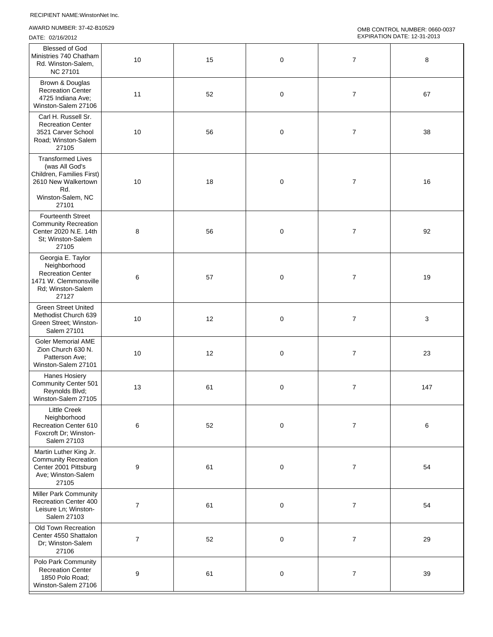AWARD NUMBER: 37-42-B10529

| Blessed of God<br>Ministries 740 Chatham<br>Rd. Winston-Salem,<br><b>NC 27101</b>                                                   | 10               | 15 | $\pmb{0}$ | $\boldsymbol{7}$ | 8   |
|-------------------------------------------------------------------------------------------------------------------------------------|------------------|----|-----------|------------------|-----|
| Brown & Douglas<br><b>Recreation Center</b><br>4725 Indiana Ave;<br>Winston-Salem 27106                                             | 11               | 52 | $\pmb{0}$ | $\overline{7}$   | 67  |
| Carl H. Russell Sr.<br><b>Recreation Center</b><br>3521 Carver School<br>Road; Winston-Salem<br>27105                               | 10               | 56 | 0         | $\overline{7}$   | 38  |
| <b>Transformed Lives</b><br>(was All God's<br>Children, Families First)<br>2610 New Walkertown<br>Rd.<br>Winston-Salem, NC<br>27101 | 10               | 18 | $\pmb{0}$ | $\overline{7}$   | 16  |
| Fourteenth Street<br><b>Community Recreation</b><br>Center 2020 N.E. 14th<br>St; Winston-Salem<br>27105                             | 8                | 56 | $\pmb{0}$ | $\overline{7}$   | 92  |
| Georgia E. Taylor<br>Neighborhood<br><b>Recreation Center</b><br>1471 W. Clemmonsville<br>Rd; Winston-Salem<br>27127                | 6                | 57 | $\pmb{0}$ | $\overline{7}$   | 19  |
| <b>Green Street United</b><br>Methodist Church 639<br>Green Street; Winston-<br>Salem 27101                                         | 10               | 12 | 0         | $\overline{7}$   | 3   |
| <b>Goler Memorial AME</b><br>Zion Church 630 N.<br>Patterson Ave:<br>Winston-Salem 27101                                            | 10               | 12 | 0         | $\overline{7}$   | 23  |
| Hanes Hosiery<br><b>Community Center 501</b><br>Reynolds Blvd;<br>Winston-Salem 27105                                               | 13               | 61 | 0         | $\boldsymbol{7}$ | 147 |
| Little Creek<br>Neighborhood<br>Recreation Center 610<br>Foxcroft Dr; Winston-<br>Salem 27103                                       | 6                | 52 | $\pmb{0}$ | $\boldsymbol{7}$ | 6   |
| Martin Luther King Jr.<br><b>Community Recreation</b><br>Center 2001 Pittsburg<br>Ave; Winston-Salem<br>27105                       | 9                | 61 | $\pmb{0}$ | $\boldsymbol{7}$ | 54  |
| <b>Miller Park Community</b><br>Recreation Center 400<br>Leisure Ln; Winston-<br>Salem 27103                                        | $\boldsymbol{7}$ | 61 | $\pmb{0}$ | $\boldsymbol{7}$ | 54  |
| Old Town Recreation<br>Center 4550 Shattalon<br>Dr; Winston-Salem<br>27106                                                          | $\boldsymbol{7}$ | 52 | $\pmb{0}$ | $\boldsymbol{7}$ | 29  |
| Polo Park Community<br><b>Recreation Center</b><br>1850 Polo Road;<br>Winston-Salem 27106                                           | $\boldsymbol{9}$ | 61 | $\pmb{0}$ | $\boldsymbol{7}$ | 39  |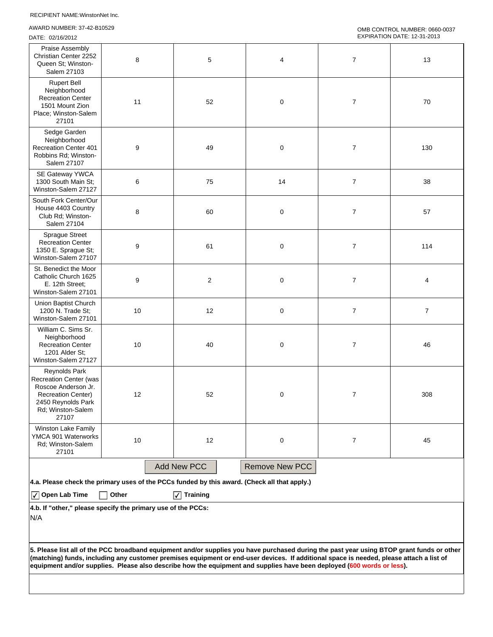AWARD NUMBER: 37-42-B10529

```
OMB CONTROL NUMBER: 0660-0037 
EXPIRATION DATE: 12-31-2013
```

| Praise Assembly<br>Christian Center 2252<br>Queen St; Winston-<br>Salem 27103                                                                                                                                                                                                                                                                                                                                  | 8     | 5                                                                                            | 4                     | $\overline{7}$   | 13               |
|----------------------------------------------------------------------------------------------------------------------------------------------------------------------------------------------------------------------------------------------------------------------------------------------------------------------------------------------------------------------------------------------------------------|-------|----------------------------------------------------------------------------------------------|-----------------------|------------------|------------------|
| <b>Rupert Bell</b><br>Neighborhood<br><b>Recreation Center</b><br>1501 Mount Zion<br>Place; Winston-Salem<br>27101                                                                                                                                                                                                                                                                                             | 11    | 52                                                                                           | $\mathbf 0$           | $\overline{7}$   | 70               |
| Sedge Garden<br>Neighborhood<br><b>Recreation Center 401</b><br>Robbins Rd; Winston-<br>Salem 27107                                                                                                                                                                                                                                                                                                            | 9     | 49                                                                                           | $\pmb{0}$             | $\boldsymbol{7}$ | 130              |
| SE Gateway YWCA<br>1300 South Main St;<br>Winston-Salem 27127                                                                                                                                                                                                                                                                                                                                                  | 6     | 75                                                                                           | 14                    | $\boldsymbol{7}$ | 38               |
| South Fork Center/Our<br>House 4403 Country<br>Club Rd; Winston-<br>Salem 27104                                                                                                                                                                                                                                                                                                                                | 8     | 60                                                                                           | $\pmb{0}$             | $\overline{7}$   | 57               |
| <b>Sprague Street</b><br><b>Recreation Center</b><br>1350 E. Sprague St;<br>Winston-Salem 27107                                                                                                                                                                                                                                                                                                                | 9     | 61                                                                                           | $\pmb{0}$             | $\overline{7}$   | 114              |
| St. Benedict the Moor<br>Catholic Church 1625<br>E. 12th Street;<br>Winston-Salem 27101                                                                                                                                                                                                                                                                                                                        | 9     | $\boldsymbol{2}$                                                                             | $\pmb{0}$             | $\boldsymbol{7}$ | 4                |
| Union Baptist Church<br>1200 N. Trade St:<br>Winston-Salem 27101                                                                                                                                                                                                                                                                                                                                               | 10    | 12                                                                                           | 0                     | $\boldsymbol{7}$ | $\boldsymbol{7}$ |
| William C. Sims Sr.<br>Neighborhood<br><b>Recreation Center</b><br>1201 Alder St;<br>Winston-Salem 27127                                                                                                                                                                                                                                                                                                       | 10    | 40                                                                                           | $\pmb{0}$             | $\overline{7}$   | 46               |
| <b>Reynolds Park</b><br>Recreation Center (was<br>Roscoe Anderson Jr.<br><b>Recreation Center)</b><br>2450 Reynolds Park<br>Rd; Winston-Salem<br>27107                                                                                                                                                                                                                                                         | 12    | 52                                                                                           | $\pmb{0}$             | $\overline{7}$   | 308              |
| Winston Lake Family<br>YMCA 901 Waterworks<br>Rd; Winston-Salem<br>27101                                                                                                                                                                                                                                                                                                                                       | 10    | 12                                                                                           | $\pmb{0}$             | 7                | 45               |
|                                                                                                                                                                                                                                                                                                                                                                                                                |       | <b>Add New PCC</b>                                                                           | <b>Remove New PCC</b> |                  |                  |
|                                                                                                                                                                                                                                                                                                                                                                                                                |       | 4.a. Please check the primary uses of the PCCs funded by this award. (Check all that apply.) |                       |                  |                  |
| $\sqrt{\phantom{a}}$ Open Lab Time<br>4.b. If "other," please specify the primary use of the PCCs:                                                                                                                                                                                                                                                                                                             | Other | <b>Training</b>                                                                              |                       |                  |                  |
| N/A                                                                                                                                                                                                                                                                                                                                                                                                            |       |                                                                                              |                       |                  |                  |
| 5. Please list all of the PCC broadband equipment and/or supplies you have purchased during the past year using BTOP grant funds or other<br>(matching) funds, including any customer premises equipment or end-user devices. If additional space is needed, please attach a list of<br>equipment and/or supplies. Please also describe how the equipment and supplies have been deployed (600 words or less). |       |                                                                                              |                       |                  |                  |
|                                                                                                                                                                                                                                                                                                                                                                                                                |       |                                                                                              |                       |                  |                  |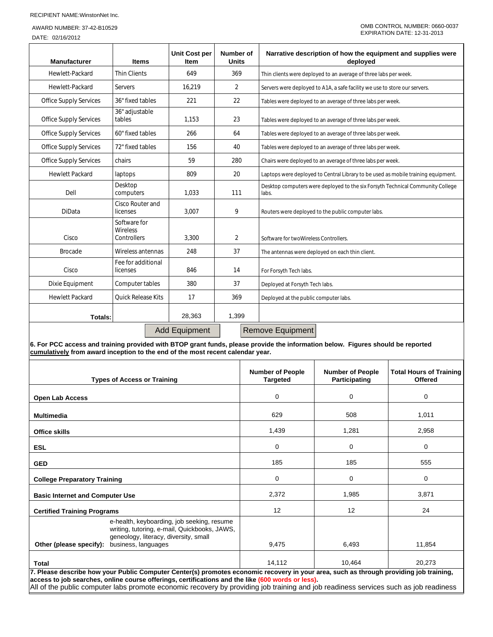## AWARD NUMBER: 37-42-B10529

DATE: 02/16/2012

| <b>Manufacturer</b>           | <b>Items</b>                            | <b>Unit Cost per</b><br><b>Item</b> | Number of<br><b>Units</b> | Narrative description of how the equipment and supplies were<br>deployed                |
|-------------------------------|-----------------------------------------|-------------------------------------|---------------------------|-----------------------------------------------------------------------------------------|
| Hewlett-Packard               | <b>Thin Clients</b>                     | 649                                 | 369                       | Thin clients were deployed to an average of three labs per week.                        |
| Hewlett-Packard               | Servers                                 | 16,219                              | 2                         | Servers were deployed to A1A, a safe facility we use to store our servers.              |
| <b>Office Supply Services</b> | 36" fixed tables                        | 221                                 | 22                        | Tables were deployed to an average of three labs per week.                              |
| <b>Office Supply Services</b> | 36" adjustable<br>tables                | 1,153                               | 23                        | Tables were deployed to an average of three labs per week.                              |
| <b>Office Supply Services</b> | 60" fixed tables                        | 266                                 | 64                        | Tables were deployed to an average of three labs per week.                              |
| <b>Office Supply Services</b> | 72" fixed tables                        | 156                                 | 40                        | Tables were deployed to an average of three labs per week.                              |
| <b>Office Supply Services</b> | chairs                                  | 59                                  | 280                       | Chairs were deployed to an average of three labs per week.                              |
| <b>Hewlett Packard</b>        | laptops                                 | 809                                 | 20                        | Laptops were deployed to Central Library to be used as mobile training equipment.       |
| Dell                          | Desktop<br>computers                    | 1,033                               | 111                       | Desktop computers were deployed to the six Forsyth Technical Community College<br>labs. |
| <b>DiData</b>                 | Cisco Router and<br>licenses            | 3,007                               | 9                         | Routers were deployed to the public computer labs.                                      |
| Cisco                         | Software for<br>Wireless<br>Controllers | 3.300                               | $\overline{2}$            | Software for twoWireless Controllers.                                                   |
| <b>Brocade</b>                | Wireless antennas                       | 248                                 | 37                        | The antennas were deployed on each thin client.                                         |
| Cisco                         | Fee for additional<br>licenses          | 846                                 | 14                        | For Forsyth Tech labs.                                                                  |
| Dixie Equipment               | Computer tables                         | 380                                 | 37                        | Deployed at Forsyth Tech labs.                                                          |
| <b>Hewlett Packard</b>        | <b>Ouick Release Kits</b>               | 17                                  | 369                       | Deployed at the public computer labs.                                                   |
| Totals:                       |                                         | 28,363                              | 1,399                     |                                                                                         |
|                               |                                         | <b>Add Equipment</b>                |                           | Remove Equipment                                                                        |

**6. For PCC access and training provided with BTOP grant funds, please provide the information below. Figures should be reported cumulatively from award inception to the end of the most recent calendar year.**

|                                        | <b>Types of Access or Training</b>                                                                                                                                                                                                                                                                                                                                                  | <b>Number of People</b><br><b>Targeted</b> | <b>Number of People</b><br>Participating | <b>Total Hours of Training</b><br><b>Offered</b> |
|----------------------------------------|-------------------------------------------------------------------------------------------------------------------------------------------------------------------------------------------------------------------------------------------------------------------------------------------------------------------------------------------------------------------------------------|--------------------------------------------|------------------------------------------|--------------------------------------------------|
| <b>Open Lab Access</b>                 |                                                                                                                                                                                                                                                                                                                                                                                     | 0                                          | 0                                        | 0                                                |
| <b>Multimedia</b>                      |                                                                                                                                                                                                                                                                                                                                                                                     | 629                                        | 508                                      | 1,011                                            |
| <b>Office skills</b>                   |                                                                                                                                                                                                                                                                                                                                                                                     | 1,439                                      | 1,281                                    | 2,958                                            |
| <b>ESL</b>                             |                                                                                                                                                                                                                                                                                                                                                                                     | 0                                          | 0                                        | 0                                                |
| <b>GED</b>                             |                                                                                                                                                                                                                                                                                                                                                                                     | 185                                        | 185                                      | 555                                              |
| <b>College Preparatory Training</b>    |                                                                                                                                                                                                                                                                                                                                                                                     | 0                                          | 0                                        | 0                                                |
| <b>Basic Internet and Computer Use</b> |                                                                                                                                                                                                                                                                                                                                                                                     | 2,372                                      | 1,985                                    | 3,871                                            |
| <b>Certified Training Programs</b>     |                                                                                                                                                                                                                                                                                                                                                                                     | 12                                         | 12                                       | 24                                               |
| Other (please specify):                | e-health, keyboarding, job seeking, resume<br>writing, tutoring, e-mail, Quickbooks, JAWS,<br>geneology, literacy, diversity, small<br>business, languages                                                                                                                                                                                                                          | 9,475                                      | 6,493                                    | 11,854                                           |
| Total                                  |                                                                                                                                                                                                                                                                                                                                                                                     | 14.112                                     | 10.464                                   | 20.273                                           |
|                                        | 7. Please describe how your Public Computer Center(s) promotes economic recovery in your area, such as through providing job training,<br>access to job searches, online course offerings, certifications and the like (600 words or less).<br>All of the public computer labs promote economic recovery by providing job training and job readiness services such as job readiness |                                            |                                          |                                                  |